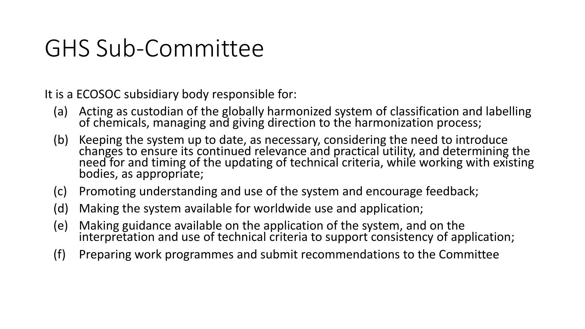It is a ECOSOC subsidiary body responsible for:

- (a) Acting as custodian of the globally harmonized system of classification and labelling of chemicals, managing and giving direction to the harmonization process;
- (b) Keeping the system up to date, as necessary, considering the need to introduce changes to ensure its continued relevance and practical utility, and determining the need for and timing of the updating of technical criteria, while working with existing bodies, as appropriate;
- (c) Promoting understanding and use of the system and encourage feedback;
- (d) Making the system available for worldwide use and application;
- (e) Making guidance available on the application of the system, and on the interpretation and use of technical criteria to support consistency of application;
- (f) Preparing work programmes and submit recommendations to the Committee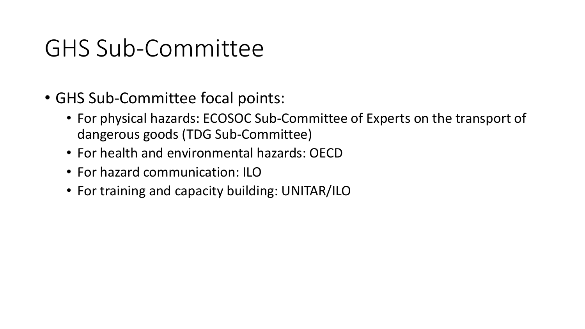- GHS Sub-Committee focal points:
	- For physical hazards: ECOSOC Sub-Committee of Experts on the transport of dangerous goods (TDG Sub-Committee)
	- For health and environmental hazards: OECD
	- For hazard communication: ILO
	- For training and capacity building: UNITAR/ILO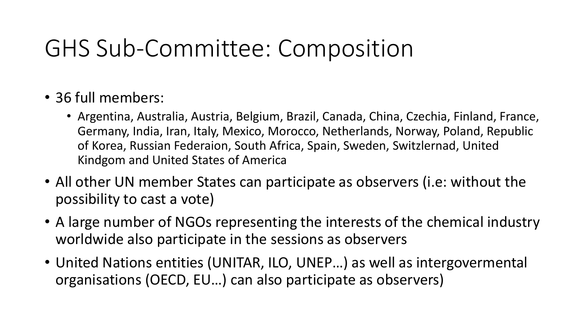# GHS Sub-Committee: Composition

- 36 full members:
	- Argentina, Australia, Austria, Belgium, Brazil, Canada, China, Czechia, Finland, France, Germany, India, Iran, Italy, Mexico, Morocco, Netherlands, Norway, Poland, Republic of Korea, Russian Federaion, South Africa, Spain, Sweden, Switzlernad, United Kindgom and United States of America
- All other UN member States can participate as observers (i.e: without the possibility to cast a vote)
- A large number of NGOs representing the interests of the chemical industry worldwide also participate in the sessions as observers
- United Nations entities (UNITAR, ILO, UNEP…) as well as intergovermental organisations (OECD, EU…) can also participate as observers)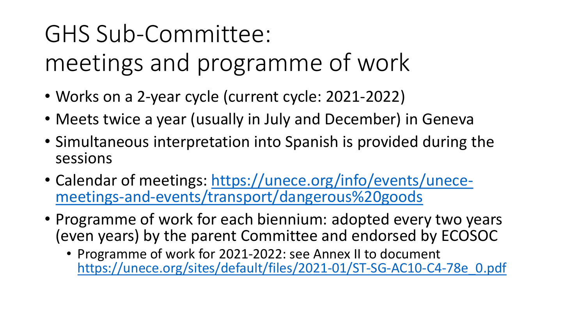meetings and programme of work

- Works on a 2-year cycle (current cycle: 2021-2022)
- Meets twice a year (usually in July and December) in Geneva
- Simultaneous interpretation into Spanish is provided during the sessions
- Calendar of meetings: https://unece.org/info/events/unece[meetings-and-events/transport/dangerous%20goods](https://unece.org/info/events/unece-meetings-and-events/transport/dangerous%20goods)
- Programme of work for each biennium: adopted every two years (even years) by the parent Committee and endorsed by ECOSOC
	- Programme of work for 2021-2022: see Annex II to document [https://unece.org/sites/default/files/2021-01/ST-SG-AC10-C4-78e\\_0.pdf](https://unece.org/sites/default/files/2021-01/ST-SG-AC10-C4-78e_0.pdf)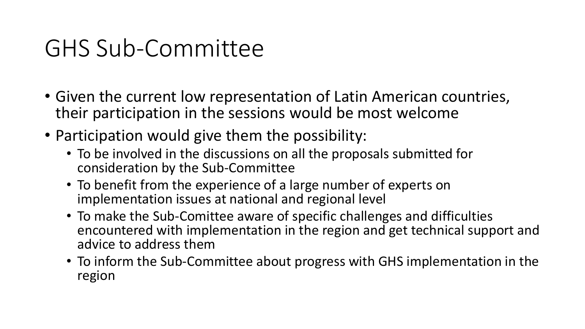- Given the current low representation of Latin American countries, their participation in the sessions would be most welcome
- Participation would give them the possibility:
	- To be involved in the discussions on all the proposals submitted for consideration by the Sub-Committee
	- To benefit from the experience of a large number of experts on implementation issues at national and regional level
	- To make the Sub-Comittee aware of specific challenges and difficulties encountered with implementation in the region and get technical support and advice to address them
	- To inform the Sub-Committee about progress with GHS implementation in the region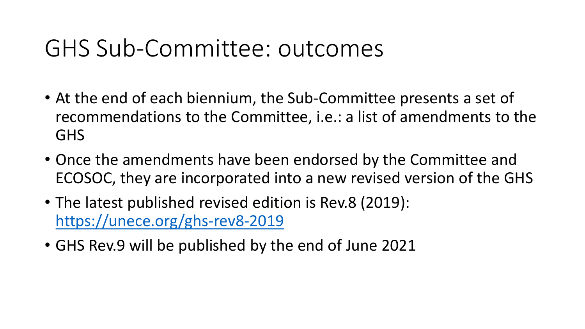#### GHS Sub-Committee: outcomes

- At the end of each biennium, the Sub-Committee presents a set of recommendations to the Committee, i.e.: a list of amendments to the GHS
- Once the amendments have been endorsed by the Committee and ECOSOC, they are incorporated into a new revised version of the GHS
- The latest published revised edition is Rev.8 (2019): <https://unece.org/ghs-rev8-2019>
- GHS Rev.9 will be published by the end of June 2021